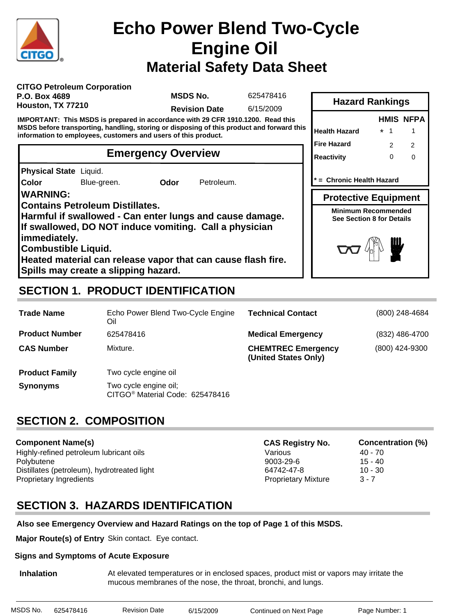

# **Material Safety Data Sheet Echo Power Blend Two-Cycle Engine Oil**

| <b>CITGO Petroleum Corporation</b> |
|------------------------------------|
| <b>P.O. Box 4689</b>               |
| Houston, TX 77210                  |

**MSDS No.**

625478416

**Revision Date** 6/15/2009

**IMPORTANT: This MSDS is prepared in accordance with 29 CFR 1910.1200. Read this MSDS before transporting, handling, storing or disposing of this product and forward this information to employees, customers and users of this product.**

### **Emergency Overview**

**Physical State** Liquid.

**Color** Blue-green. **Odor** Petroleum.

**WARNING:**

**Contains Petroleum Distillates.**

**Harmful if swallowed - Can enter lungs and cause damage. If swallowed, DO NOT induce vomiting. Call a physician**

**immediately.**

**Combustible Liquid.**

**Heated material can release vapor that can cause flash fire. Spills may create a slipping hazard.**

# **SECTION 1. PRODUCT IDENTIFICATION**

| <b>Hazard Rankings</b>                                                                        |         |   |                  |  |  |
|-----------------------------------------------------------------------------------------------|---------|---|------------------|--|--|
|                                                                                               |         |   | <b>HMIS NFPA</b> |  |  |
| <b>Health Hazard</b>                                                                          | $\star$ | 1 |                  |  |  |
| <b>Fire Hazard</b>                                                                            |         | 2 | 2                |  |  |
| <b>Reactivity</b>                                                                             |         | ŋ | n                |  |  |
| * = Chronic Health Hazard                                                                     |         |   |                  |  |  |
|                                                                                               |         |   |                  |  |  |
| <b>Protective Equipment</b><br><b>Minimum Recommended</b><br><b>See Section 8 for Details</b> |         |   |                  |  |  |

| <b>Trade Name</b>     | Echo Power Blend Two-Cycle Engine<br>Oil                             | <b>Technical Contact</b>                          | (800) 248-4684   |
|-----------------------|----------------------------------------------------------------------|---------------------------------------------------|------------------|
| <b>Product Number</b> | 625478416                                                            | <b>Medical Emergency</b>                          | $(832)$ 486-4700 |
| <b>CAS Number</b>     | Mixture.                                                             | <b>CHEMTREC Emergency</b><br>(United States Only) | (800) 424-9300   |
| <b>Product Family</b> | Two cycle engine oil                                                 |                                                   |                  |
| <b>Synonyms</b>       | Two cycle engine oil;<br>CITGO <sup>®</sup> Material Code: 625478416 |                                                   |                  |

# **SECTION 2. COMPOSITION**

#### **Component Name(s)** Highly-refined petroleum lubricant oils **Accord 10 and 10 and 10 and 10 and 10 and 10 and 10 and 10 and 10 and 10 and 10 and 10 and 10 and 10 and 10 and 10 and 10 and 10 and 10 and 10 and 10 and 10 and 10 and 10 and 10 and** Polybutene 9003-29-6 15 - 40 Distillates (petroleum), hydrotreated light 64742-47-8 10 - 30 Proprietary Ingredients **Proprietary Mixture 3 - 7 CAS Registry No. Concentration (%)**

# **SECTION 3. HAZARDS IDENTIFICATION**

### **Also see Emergency Overview and Hazard Ratings on the top of Page 1 of this MSDS.**

**Major Route(s) of Entry** Skin contact. Eye contact.

#### **Signs and Symptoms of Acute Exposure**

**Inhalation** At elevated temperatures or in enclosed spaces, product mist or vapors may irritate the mucous membranes of the nose, the throat, bronchi, and lungs.

| MSDS No. | 625478416 | Revision Date | 6/15/2009 | Continued on Next Page | Page Number: 1 |
|----------|-----------|---------------|-----------|------------------------|----------------|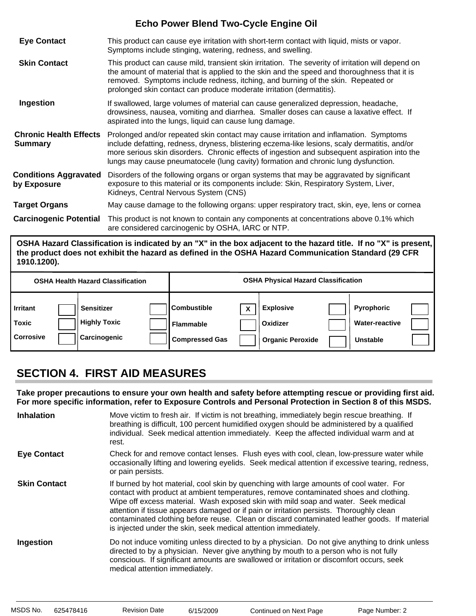| <b>Eye Contact</b>                              | This product can cause eye irritation with short-term contact with liquid, mists or vapor.<br>Symptoms include stinging, watering, redness, and swelling.                                                                                                                                                                                                                    |
|-------------------------------------------------|------------------------------------------------------------------------------------------------------------------------------------------------------------------------------------------------------------------------------------------------------------------------------------------------------------------------------------------------------------------------------|
| <b>Skin Contact</b>                             | This product can cause mild, transient skin irritation. The severity of irritation will depend on<br>the amount of material that is applied to the skin and the speed and thoroughness that it is<br>removed. Symptoms include redness, itching, and burning of the skin. Repeated or<br>prolonged skin contact can produce moderate irritation (dermatitis).                |
| Ingestion                                       | If swallowed, large volumes of material can cause generalized depression, headache,<br>drowsiness, nausea, vomiting and diarrhea. Smaller doses can cause a laxative effect. If<br>aspirated into the lungs, liquid can cause lung damage.                                                                                                                                   |
| <b>Chronic Health Effects</b><br><b>Summary</b> | Prolonged and/or repeated skin contact may cause irritation and inflamation. Symptoms<br>include defatting, redness, dryness, blistering eczema-like lesions, scaly dermatitis, and/or<br>more serious skin disorders. Chronic effects of ingestion and subsequent aspiration into the<br>lungs may cause pneumatocele (lung cavity) formation and chronic lung dysfunction. |
| <b>Conditions Aggravated</b><br>by Exposure     | Disorders of the following organs or organ systems that may be aggravated by significant<br>exposure to this material or its components include: Skin, Respiratory System, Liver,<br>Kidneys, Central Nervous System (CNS)                                                                                                                                                   |
| <b>Target Organs</b>                            | May cause damage to the following organs: upper respiratory tract, skin, eye, lens or cornea                                                                                                                                                                                                                                                                                 |
| <b>Carcinogenic Potential</b>                   | This product is not known to contain any components at concentrations above 0.1% which<br>are considered carcinogenic by OSHA, IARC or NTP.                                                                                                                                                                                                                                  |

**OSHA Hazard Classification is indicated by an "X" in the box adjacent to the hazard title. If no "X" is present, the product does not exhibit the hazard as defined in the OSHA Hazard Communication Standard (29 CFR 1910.1200).**

| <b>OSHA Health Hazard Classification</b>     |  |                                                          | <b>OSHA Physical Hazard Classification</b> |                                                                    |  |                                                         |  |                                                        |  |
|----------------------------------------------|--|----------------------------------------------------------|--------------------------------------------|--------------------------------------------------------------------|--|---------------------------------------------------------|--|--------------------------------------------------------|--|
| <b>Irritant</b><br>Toxic<br><b>Corrosive</b> |  | <b>Sensitizer</b><br><b>Highly Toxic</b><br>Carcinogenic |                                            | <b>II</b> Combustible<br><b>Flammable</b><br><b>Compressed Gas</b> |  | <b>Explosive</b><br>Oxidizer<br><b>Organic Peroxide</b> |  | <b>Pyrophoric</b><br><b>Water-reactive</b><br>Unstable |  |

# **SECTION 4. FIRST AID MEASURES**

**Take proper precautions to ensure your own health and safety before attempting rescue or providing first aid. For more specific information, refer to Exposure Controls and Personal Protection in Section 8 of this MSDS.**

| <b>Inhalation</b>   | Move victim to fresh air. If victim is not breathing, immediately begin rescue breathing. If<br>breathing is difficult, 100 percent humidified oxygen should be administered by a qualified<br>individual. Seek medical attention immediately. Keep the affected individual warm and at<br>rest.                                                                                                                                                                                                                                     |
|---------------------|--------------------------------------------------------------------------------------------------------------------------------------------------------------------------------------------------------------------------------------------------------------------------------------------------------------------------------------------------------------------------------------------------------------------------------------------------------------------------------------------------------------------------------------|
| <b>Eye Contact</b>  | Check for and remove contact lenses. Flush eyes with cool, clean, low-pressure water while<br>occasionally lifting and lowering eyelids. Seek medical attention if excessive tearing, redness,<br>or pain persists.                                                                                                                                                                                                                                                                                                                  |
| <b>Skin Contact</b> | If burned by hot material, cool skin by quenching with large amounts of cool water. For<br>contact with product at ambient temperatures, remove contaminated shoes and clothing.<br>Wipe off excess material. Wash exposed skin with mild soap and water. Seek medical<br>attention if tissue appears damaged or if pain or irritation persists. Thoroughly clean<br>contaminated clothing before reuse. Clean or discard contaminated leather goods. If material<br>is injected under the skin, seek medical attention immediately. |
| Ingestion           | Do not induce vomiting unless directed to by a physician. Do not give anything to drink unless<br>directed to by a physician. Never give anything by mouth to a person who is not fully<br>conscious. If significant amounts are swallowed or irritation or discomfort occurs, seek<br>medical attention immediately.                                                                                                                                                                                                                |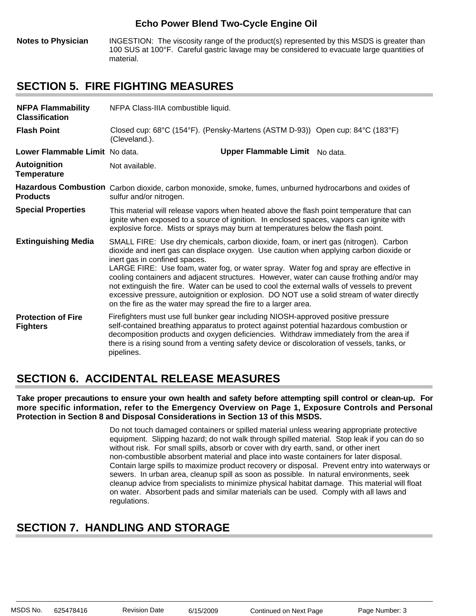**Notes to Physician** INGESTION: The viscosity range of the product(s) represented by this MSDS is greater than 100 SUS at 100°F. Careful gastric lavage may be considered to evacuate large quantities of material.

### **SECTION 5. FIRE FIGHTING MEASURES**

| <b>NFPA Flammability</b><br><b>Classification</b> | NFPA Class-IIIA combustible liquid.                                                                                                                                                                                                                                                                                                                                                                                                                                                                                                                                                                                                                                 |                                |  |  |  |
|---------------------------------------------------|---------------------------------------------------------------------------------------------------------------------------------------------------------------------------------------------------------------------------------------------------------------------------------------------------------------------------------------------------------------------------------------------------------------------------------------------------------------------------------------------------------------------------------------------------------------------------------------------------------------------------------------------------------------------|--------------------------------|--|--|--|
| <b>Flash Point</b>                                | Closed cup: 68°C (154°F). (Pensky-Martens (ASTM D-93)) Open cup: 84°C (183°F)<br>(Cleveland.).                                                                                                                                                                                                                                                                                                                                                                                                                                                                                                                                                                      |                                |  |  |  |
| Lower Flammable Limit No data.                    |                                                                                                                                                                                                                                                                                                                                                                                                                                                                                                                                                                                                                                                                     | Upper Flammable Limit No data. |  |  |  |
| <b>Autoignition</b><br><b>Temperature</b>         | Not available.                                                                                                                                                                                                                                                                                                                                                                                                                                                                                                                                                                                                                                                      |                                |  |  |  |
| <b>Products</b>                                   | Hazardous Combustion Carbon dioxide, carbon monoxide, smoke, fumes, unburned hydrocarbons and oxides of<br>sulfur and/or nitrogen.                                                                                                                                                                                                                                                                                                                                                                                                                                                                                                                                  |                                |  |  |  |
| <b>Special Properties</b>                         | This material will release vapors when heated above the flash point temperature that can<br>ignite when exposed to a source of ignition. In enclosed spaces, vapors can ignite with<br>explosive force. Mists or sprays may burn at temperatures below the flash point.                                                                                                                                                                                                                                                                                                                                                                                             |                                |  |  |  |
| <b>Extinguishing Media</b>                        | SMALL FIRE: Use dry chemicals, carbon dioxide, foam, or inert gas (nitrogen). Carbon<br>dioxide and inert gas can displace oxygen. Use caution when applying carbon dioxide or<br>inert gas in confined spaces.<br>LARGE FIRE: Use foam, water fog, or water spray. Water fog and spray are effective in<br>cooling containers and adjacent structures. However, water can cause frothing and/or may<br>not extinguish the fire. Water can be used to cool the external walls of vessels to prevent<br>excessive pressure, autoignition or explosion. DO NOT use a solid stream of water directly<br>on the fire as the water may spread the fire to a larger area. |                                |  |  |  |
| <b>Protection of Fire</b><br><b>Fighters</b>      | Firefighters must use full bunker gear including NIOSH-approved positive pressure<br>self-contained breathing apparatus to protect against potential hazardous combustion or<br>decomposition products and oxygen deficiencies. Withdraw immediately from the area if<br>there is a rising sound from a venting safety device or discoloration of vessels, tanks, or<br>pipelines.                                                                                                                                                                                                                                                                                  |                                |  |  |  |

### **SECTION 6. ACCIDENTAL RELEASE MEASURES**

**Take proper precautions to ensure your own health and safety before attempting spill control or clean-up. For more specific information, refer to the Emergency Overview on Page 1, Exposure Controls and Personal Protection in Section 8 and Disposal Considerations in Section 13 of this MSDS.**

> Do not touch damaged containers or spilled material unless wearing appropriate protective equipment. Slipping hazard; do not walk through spilled material. Stop leak if you can do so without risk. For small spills, absorb or cover with dry earth, sand, or other inert non-combustible absorbent material and place into waste containers for later disposal. Contain large spills to maximize product recovery or disposal. Prevent entry into waterways or sewers. In urban area, cleanup spill as soon as possible. In natural environments, seek cleanup advice from specialists to minimize physical habitat damage. This material will float on water. Absorbent pads and similar materials can be used. Comply with all laws and regulations.

# **SECTION 7. HANDLING AND STORAGE**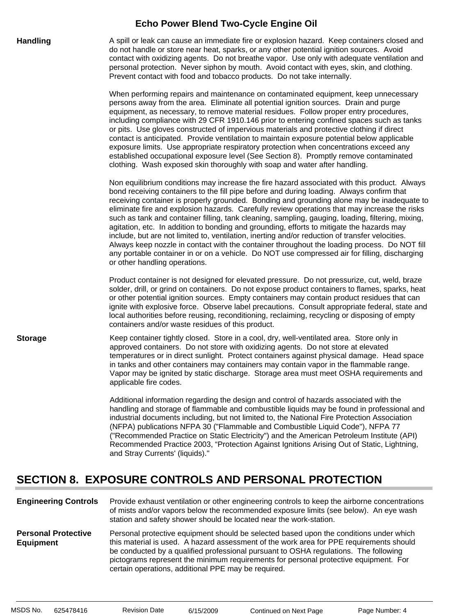| <b>Handling</b> | A spill or leak can cause an immediate fire or explosion hazard. Keep containers closed and<br>do not handle or store near heat, sparks, or any other potential ignition sources. Avoid<br>contact with oxidizing agents. Do not breathe vapor. Use only with adequate ventilation and<br>personal protection. Never siphon by mouth. Avoid contact with eyes, skin, and clothing.<br>Prevent contact with food and tobacco products. Do not take internally.                                                                                                                                                                                                                                                                                                                                                                                                                                                                   |
|-----------------|---------------------------------------------------------------------------------------------------------------------------------------------------------------------------------------------------------------------------------------------------------------------------------------------------------------------------------------------------------------------------------------------------------------------------------------------------------------------------------------------------------------------------------------------------------------------------------------------------------------------------------------------------------------------------------------------------------------------------------------------------------------------------------------------------------------------------------------------------------------------------------------------------------------------------------|
|                 | When performing repairs and maintenance on contaminated equipment, keep unnecessary<br>persons away from the area. Eliminate all potential ignition sources. Drain and purge<br>equipment, as necessary, to remove material residues. Follow proper entry procedures,<br>including compliance with 29 CFR 1910.146 prior to entering confined spaces such as tanks<br>or pits. Use gloves constructed of impervious materials and protective clothing if direct<br>contact is anticipated. Provide ventilation to maintain exposure potential below applicable<br>exposure limits. Use appropriate respiratory protection when concentrations exceed any<br>established occupational exposure level (See Section 8). Promptly remove contaminated<br>clothing. Wash exposed skin thoroughly with soap and water after handling.                                                                                                 |
|                 | Non equilibrium conditions may increase the fire hazard associated with this product. Always<br>bond receiving containers to the fill pipe before and during loading. Always confirm that<br>receiving container is properly grounded. Bonding and grounding alone may be inadequate to<br>eliminate fire and explosion hazards. Carefully review operations that may increase the risks<br>such as tank and container filling, tank cleaning, sampling, gauging, loading, filtering, mixing,<br>agitation, etc. In addition to bonding and grounding, efforts to mitigate the hazards may<br>include, but are not limited to, ventilation, inerting and/or reduction of transfer velocities.<br>Always keep nozzle in contact with the container throughout the loading process. Do NOT fill<br>any portable container in or on a vehicle. Do NOT use compressed air for filling, discharging<br>or other handling operations. |
|                 | Product container is not designed for elevated pressure. Do not pressurize, cut, weld, braze<br>solder, drill, or grind on containers. Do not expose product containers to flames, sparks, heat<br>or other potential ignition sources. Empty containers may contain product residues that can<br>ignite with explosive force. Observe label precautions. Consult appropriate federal, state and<br>local authorities before reusing, reconditioning, reclaiming, recycling or disposing of empty<br>containers and/or waste residues of this product.                                                                                                                                                                                                                                                                                                                                                                          |
| <b>Storage</b>  | Keep container tightly closed. Store in a cool, dry, well-ventilated area. Store only in<br>approved containers. Do not store with oxidizing agents. Do not store at elevated<br>temperatures or in direct sunlight. Protect containers against physical damage. Head space<br>in tanks and other containers may containers may contain vapor in the flammable range.<br>Vapor may be ignited by static discharge. Storage area must meet OSHA requirements and<br>applicable fire codes.                                                                                                                                                                                                                                                                                                                                                                                                                                       |
|                 | Additional information regarding the design and control of hazards associated with the                                                                                                                                                                                                                                                                                                                                                                                                                                                                                                                                                                                                                                                                                                                                                                                                                                          |

handling and storage of flammable and combustible liquids may be found in professional and industrial documents including, but not limited to, the National Fire Protection Association (NFPA) publications NFPA 30 ("Flammable and Combustible Liquid Code"), NFPA 77 ("Recommended Practice on Static Electricity") and the American Petroleum Institute (API) Recommended Practice 2003, "Protection Against Ignitions Arising Out of Static, Lightning, and Stray Currents' (liquids)."

# **SECTION 8. EXPOSURE CONTROLS AND PERSONAL PROTECTION**

| <b>Engineering Controls</b>                    | Provide exhaust ventilation or other engineering controls to keep the airborne concentrations<br>of mists and/or vapors below the recommended exposure limits (see below). An eye wash<br>station and safety shower should be located near the work-station.                                                                                                                                                             |
|------------------------------------------------|--------------------------------------------------------------------------------------------------------------------------------------------------------------------------------------------------------------------------------------------------------------------------------------------------------------------------------------------------------------------------------------------------------------------------|
| <b>Personal Protective</b><br><b>Equipment</b> | Personal protective equipment should be selected based upon the conditions under which<br>this material is used. A hazard assessment of the work area for PPE requirements should<br>be conducted by a qualified professional pursuant to OSHA regulations. The following<br>pictograms represent the minimum requirements for personal protective equipment. For<br>certain operations, additional PPE may be required. |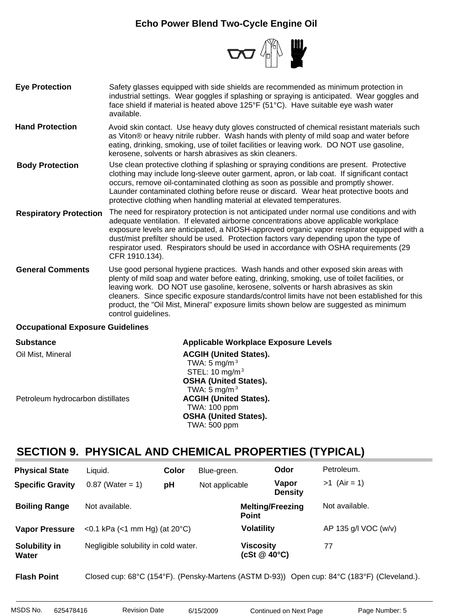

- Safety glasses equipped with side shields are recommended as minimum protection in industrial settings. Wear goggles if splashing or spraying is anticipated. Wear goggles and face shield if material is heated above 125°F (51°C). Have suitable eye wash water available. **Eye Protection**
- Avoid skin contact. Use heavy duty gloves constructed of chemical resistant materials such as Viton® or heavy nitrile rubber. Wash hands with plenty of mild soap and water before eating, drinking, smoking, use of toilet facilities or leaving work. DO NOT use gasoline, kerosene, solvents or harsh abrasives as skin cleaners. **Hand Protection**
- Use clean protective clothing if splashing or spraying conditions are present. Protective clothing may include long-sleeve outer garment, apron, or lab coat. If significant contact occurs, remove oil-contaminated clothing as soon as possible and promptly shower. Launder contaminated clothing before reuse or discard. Wear heat protective boots and protective clothing when handling material at elevated temperatures. **Body Protection**
- The need for respiratory protection is not anticipated under normal use conditions and with adequate ventilation. If elevated airborne concentrations above applicable workplace exposure levels are anticipated, a NIOSH-approved organic vapor respirator equipped with a dust/mist prefilter should be used. Protection factors vary depending upon the type of respirator used. Respirators should be used in accordance with OSHA requirements (29 CFR 1910.134). **Respiratory Protection**
- Use good personal hygiene practices. Wash hands and other exposed skin areas with plenty of mild soap and water before eating, drinking, smoking, use of toilet facilities, or leaving work. DO NOT use gasoline, kerosene, solvents or harsh abrasives as skin cleaners. Since specific exposure standards/control limits have not been established for this product, the "Oil Mist, Mineral" exposure limits shown below are suggested as minimum control guidelines. **General Comments**

#### **Occupational Exposure Guidelines**

| <b>Substance</b>                  | <b>Applicable Workplace Exposure Levels</b> |
|-----------------------------------|---------------------------------------------|
| Oil Mist, Mineral                 | <b>ACGIH (United States).</b>               |
|                                   | TWA: 5 mg/m $3$                             |
|                                   | STEL: $10 \text{ mg/m}^3$                   |
|                                   | <b>OSHA (United States).</b>                |
|                                   | TWA: 5 mg/m $3$                             |
| Petroleum hydrocarbon distillates | <b>ACGIH (United States).</b>               |
|                                   | <b>TWA: 100 ppm</b>                         |
|                                   | <b>OSHA (United States).</b>                |
|                                   | <b>TWA: 500 ppm</b>                         |

### **SECTION 9. PHYSICAL AND CHEMICAL PROPERTIES (TYPICAL)**

| <b>Physical State</b>   | Liquid.                                 | Color | Blue-green.    |                                         | Odor                    | Petroleum.           |
|-------------------------|-----------------------------------------|-------|----------------|-----------------------------------------|-------------------------|----------------------|
| <b>Specific Gravity</b> | $0.87$ (Water = 1)                      | pH    | Not applicable |                                         | Vapor<br><b>Density</b> | $>1$ (Air = 1)       |
| <b>Boiling Range</b>    | Not available.                          |       |                | <b>Melting/Freezing</b><br><b>Point</b> |                         | Not available.       |
| <b>Vapor Pressure</b>   | <0.1 kPa (<1 mm Hg) (at $20^{\circ}$ C) |       |                | <b>Volatility</b>                       |                         | AP 135 g/l VOC (w/v) |
| Solubility in<br>Water  | Negligible solubility in cold water.    |       |                | Viscosity<br>(cSt $@$ 40 $°C$ )         |                         | 77                   |

**Flash Point** Closed cup: 68°C (154°F). (Pensky-Martens (ASTM D-93)) Open cup: 84°C (183°F) (Cleveland.).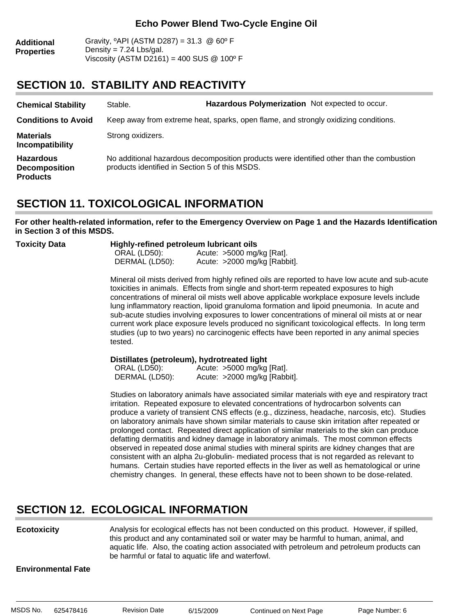| <b>Additional</b> | Gravity, $^{\circ}$ API (ASTM D287) = 31.3 @ 60 $^{\circ}$ F |
|-------------------|--------------------------------------------------------------|
| <b>Properties</b> | Density = $7.24$ Lbs/gal.                                    |
|                   | Viscosity (ASTM D2161) = 400 SUS $@$ 100 $^{\circ}$ F        |

### **SECTION 10. STABILITY AND REACTIVITY**

| <b>Chemical Stability</b>                                   | Stable.                                        | Hazardous Polymerization Not expected to occur.                                          |  |
|-------------------------------------------------------------|------------------------------------------------|------------------------------------------------------------------------------------------|--|
| <b>Conditions to Avoid</b>                                  |                                                | Keep away from extreme heat, sparks, open flame, and strongly oxidizing conditions.      |  |
| <b>Materials</b><br>Incompatibility                         | Strong oxidizers.                              |                                                                                          |  |
| <b>Hazardous</b><br><b>Decomposition</b><br><b>Products</b> | products identified in Section 5 of this MSDS. | No additional hazardous decomposition products were identified other than the combustion |  |

### **SECTION 11. TOXICOLOGICAL INFORMATION**

**For other health-related information, refer to the Emergency Overview on Page 1 and the Hazards Identification in Section 3 of this MSDS.**

| Toxicity Data | Highly-refined petroleum lubricant oils |                                |  |
|---------------|-----------------------------------------|--------------------------------|--|
|               | ORAL (LD50):                            | Acute: $>5000$ mg/kg [Rat].    |  |
|               | DERMAL (LD50):                          | Acute: $>2000$ mg/kg [Rabbit]. |  |

Mineral oil mists derived from highly refined oils are reported to have low acute and sub-acute toxicities in animals. Effects from single and short-term repeated exposures to high concentrations of mineral oil mists well above applicable workplace exposure levels include lung inflammatory reaction, lipoid granuloma formation and lipoid pneumonia. In acute and sub-acute studies involving exposures to lower concentrations of mineral oil mists at or near current work place exposure levels produced no significant toxicological effects. In long term studies (up to two years) no carcinogenic effects have been reported in any animal species tested.

#### **Distillates (petroleum), hydrotreated light**:

| ORAL (LD50):   | Acute: $>5000$ mg/kg [Rat].  |
|----------------|------------------------------|
| DERMAL (LD50): | Acute: >2000 mg/kg [Rabbit]. |

Studies on laboratory animals have associated similar materials with eye and respiratory tract irritation. Repeated exposure to elevated concentrations of hydrocarbon solvents can produce a variety of transient CNS effects (e.g., dizziness, headache, narcosis, etc). Studies on laboratory animals have shown similar materials to cause skin irritation after repeated or prolonged contact. Repeated direct application of similar materials to the skin can produce defatting dermatitis and kidney damage in laboratory animals. The most common effects observed in repeated dose animal studies with mineral spirits are kidney changes that are consistent with an alpha 2u-globulin- mediated process that is not regarded as relevant to humans. Certain studies have reported effects in the liver as well as hematological or urine chemistry changes. In general, these effects have not to been shown to be dose-related.

### **SECTION 12. ECOLOGICAL INFORMATION**

**Ecotoxicity**

Analysis for ecological effects has not been conducted on this product. However, if spilled, this product and any contaminated soil or water may be harmful to human, animal, and aquatic life. Also, the coating action associated with petroleum and petroleum products can be harmful or fatal to aquatic life and waterfowl.

#### **Environmental Fate**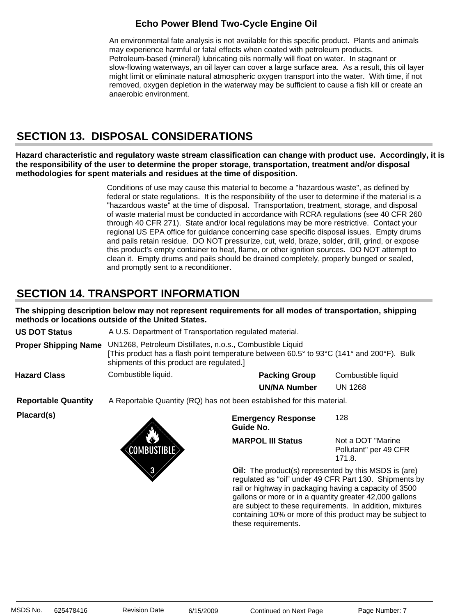An environmental fate analysis is not available for this specific product. Plants and animals may experience harmful or fatal effects when coated with petroleum products. Petroleum-based (mineral) lubricating oils normally will float on water. In stagnant or slow-flowing waterways, an oil layer can cover a large surface area. As a result, this oil layer might limit or eliminate natural atmospheric oxygen transport into the water. With time, if not removed, oxygen depletion in the waterway may be sufficient to cause a fish kill or create an anaerobic environment.

# **SECTION 13. DISPOSAL CONSIDERATIONS**

**Hazard characteristic and regulatory waste stream classification can change with product use. Accordingly, it is the responsibility of the user to determine the proper storage, transportation, treatment and/or disposal methodologies for spent materials and residues at the time of disposition.**

> Conditions of use may cause this material to become a "hazardous waste", as defined by federal or state regulations. It is the responsibility of the user to determine if the material is a "hazardous waste" at the time of disposal. Transportation, treatment, storage, and disposal of waste material must be conducted in accordance with RCRA regulations (see 40 CFR 260 through 40 CFR 271). State and/or local regulations may be more restrictive. Contact your regional US EPA office for guidance concerning case specific disposal issues. Empty drums and pails retain residue. DO NOT pressurize, cut, weld, braze, solder, drill, grind, or expose this product's empty container to heat, flame, or other ignition sources. DO NOT attempt to clean it. Empty drums and pails should be drained completely, properly bunged or sealed, and promptly sent to a reconditioner.

### **SECTION 14. TRANSPORT INFORMATION**

**The shipping description below may not represent requirements for all modes of transportation, shipping methods or locations outside of the United States.**

**Proper Shipping Name** UN1268, Petroleum Distillates, n.o.s., Combustible Liquid [This product has a flash point temperature between 60.5° to 93°C (141° and 200°F). Bulk shipments of this product are regulated.] **US DOT Status** A U.S. Department of Transportation regulated material.

Combustible liquid. **Hazard Class**

**Packing Group** Combustible liquid **UN/NA Number** UN 1268

**Reportable Quantity** A Reportable Quantity (RQ) has not been established for this material.

**Placard(s)**



**Emergency Response Guide No.** 128

**MARPOL III Status**

Not a DOT "Marine Pollutant" per 49 CFR 171.8.

**Oil:** The product(s) represented by this MSDS is (are) regulated as "oil" under 49 CFR Part 130. Shipments by rail or highway in packaging having a capacity of 3500 gallons or more or in a quantity greater 42,000 gallons are subject to these requirements. In addition, mixtures containing 10% or more of this product may be subject to these requirements.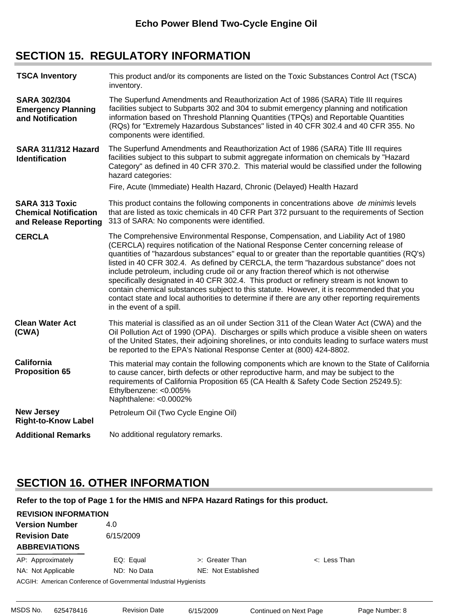### **SECTION 15. REGULATORY INFORMATION**

| <b>TSCA Inventory</b>                                                          | This product and/or its components are listed on the Toxic Substances Control Act (TSCA)<br>inventory.                                                                                                                                                                                                                                                                                                                                                                                                                                                                                                                                                                                                                                                                              |
|--------------------------------------------------------------------------------|-------------------------------------------------------------------------------------------------------------------------------------------------------------------------------------------------------------------------------------------------------------------------------------------------------------------------------------------------------------------------------------------------------------------------------------------------------------------------------------------------------------------------------------------------------------------------------------------------------------------------------------------------------------------------------------------------------------------------------------------------------------------------------------|
| <b>SARA 302/304</b><br><b>Emergency Planning</b><br>and Notification           | The Superfund Amendments and Reauthorization Act of 1986 (SARA) Title III requires<br>facilities subject to Subparts 302 and 304 to submit emergency planning and notification<br>information based on Threshold Planning Quantities (TPQs) and Reportable Quantities<br>(RQs) for "Extremely Hazardous Substances" listed in 40 CFR 302.4 and 40 CFR 355. No<br>components were identified.                                                                                                                                                                                                                                                                                                                                                                                        |
| SARA 311/312 Hazard<br><b>Identification</b>                                   | The Superfund Amendments and Reauthorization Act of 1986 (SARA) Title III requires<br>facilities subject to this subpart to submit aggregate information on chemicals by "Hazard<br>Category" as defined in 40 CFR 370.2. This material would be classified under the following<br>hazard categories:                                                                                                                                                                                                                                                                                                                                                                                                                                                                               |
|                                                                                | Fire, Acute (Immediate) Health Hazard, Chronic (Delayed) Health Hazard                                                                                                                                                                                                                                                                                                                                                                                                                                                                                                                                                                                                                                                                                                              |
| <b>SARA 313 Toxic</b><br><b>Chemical Notification</b><br>and Release Reporting | This product contains the following components in concentrations above de minimis levels<br>that are listed as toxic chemicals in 40 CFR Part 372 pursuant to the requirements of Section<br>313 of SARA: No components were identified.                                                                                                                                                                                                                                                                                                                                                                                                                                                                                                                                            |
| <b>CERCLA</b>                                                                  | The Comprehensive Environmental Response, Compensation, and Liability Act of 1980<br>(CERCLA) requires notification of the National Response Center concerning release of<br>quantities of "hazardous substances" equal to or greater than the reportable quantities (RQ's)<br>listed in 40 CFR 302.4. As defined by CERCLA, the term "hazardous substance" does not<br>include petroleum, including crude oil or any fraction thereof which is not otherwise<br>specifically designated in 40 CFR 302.4. This product or refinery stream is not known to<br>contain chemical substances subject to this statute. However, it is recommended that you<br>contact state and local authorities to determine if there are any other reporting requirements<br>in the event of a spill. |
| <b>Clean Water Act</b><br>(CWA)                                                | This material is classified as an oil under Section 311 of the Clean Water Act (CWA) and the<br>Oil Pollution Act of 1990 (OPA). Discharges or spills which produce a visible sheen on waters<br>of the United States, their adjoining shorelines, or into conduits leading to surface waters must<br>be reported to the EPA's National Response Center at (800) 424-8802.                                                                                                                                                                                                                                                                                                                                                                                                          |
| <b>California</b><br><b>Proposition 65</b>                                     | This material may contain the following components which are known to the State of California<br>to cause cancer, birth defects or other reproductive harm, and may be subject to the<br>requirements of California Proposition 65 (CA Health & Safety Code Section 25249.5):<br>Ethylbenzene: <0.005%<br>Naphthalene: <0.0002%                                                                                                                                                                                                                                                                                                                                                                                                                                                     |
| <b>New Jersey</b><br><b>Right-to-Know Label</b>                                | Petroleum Oil (Two Cycle Engine Oil)                                                                                                                                                                                                                                                                                                                                                                                                                                                                                                                                                                                                                                                                                                                                                |
| <b>Additional Remarks</b>                                                      | No additional regulatory remarks.                                                                                                                                                                                                                                                                                                                                                                                                                                                                                                                                                                                                                                                                                                                                                   |
|                                                                                |                                                                                                                                                                                                                                                                                                                                                                                                                                                                                                                                                                                                                                                                                                                                                                                     |

# **SECTION 16. OTHER INFORMATION**

**Refer to the top of Page 1 for the HMIS and NFPA Hazard Ratings for this product.**

| <b>REVISION INFORMATION</b>                                      |             |                     |                   |  |
|------------------------------------------------------------------|-------------|---------------------|-------------------|--|
| <b>Version Number</b>                                            | 4.0         |                     |                   |  |
| <b>Revision Date</b>                                             | 6/15/2009   |                     |                   |  |
| <b>ABBREVIATIONS</b>                                             |             |                     |                   |  |
| AP: Approximately                                                | EQ: Equal   | >: Greater Than     | $\lt$ : Less Than |  |
| NA: Not Applicable                                               | ND: No Data | NE: Not Established |                   |  |
| ACGIH: American Conference of Governmental Industrial Hygienists |             |                     |                   |  |